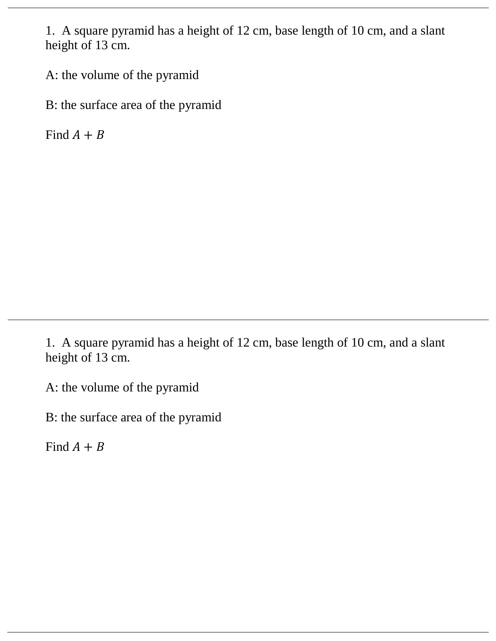1. A square pyramid has a height of 12 cm, base length of 10 cm, and a slant height of 13 cm.

A: the volume of the pyramid

B: the surface area of the pyramid

Find  $A + B$ 

1. A square pyramid has a height of 12 cm, base length of 10 cm, and a slant height of 13 cm.

A: the volume of the pyramid

B: the surface area of the pyramid

Find  $A + B$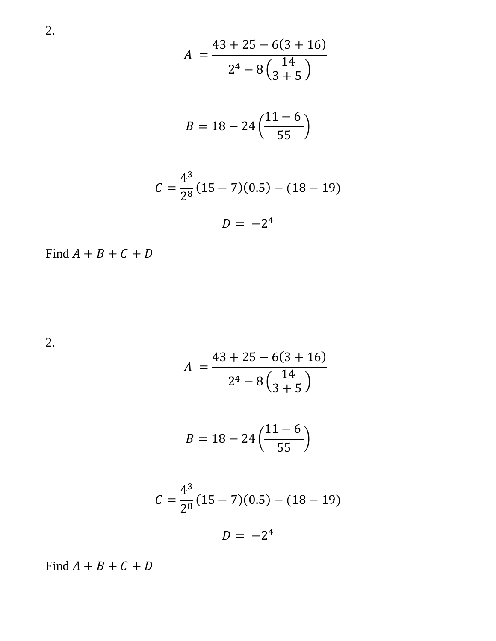$$
A = \frac{43 + 25 - 6(3 + 16)}{2^4 - 8\left(\frac{14}{3 + 5}\right)}
$$

$$
B = 18 - 24\left(\frac{11 - 6}{55}\right)
$$

$$
C = \frac{4^3}{2^8} (15 - 7)(0.5) - (18 - 19)
$$

$$
D = -2^4
$$

Find  $A + B + C + D$ 

2.

$$
A = \frac{43 + 25 - 6(3 + 16)}{2^4 - 8\left(\frac{14}{3 + 5}\right)}
$$
  

$$
B = 18 - 24\left(\frac{11 - 6}{55}\right)
$$
  

$$
C = \frac{4^3}{2^8}(15 - 7)(0.5) - (18 - 19)
$$

 $D = -2^4$ 

Find  $A + B + C + D$ 

2.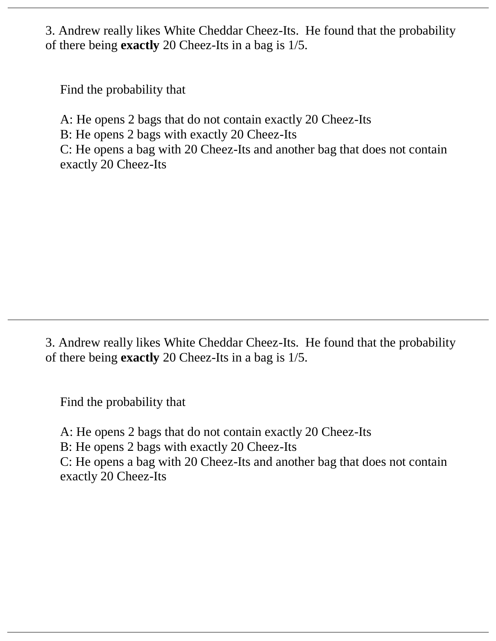3. Andrew really likes White Cheddar Cheez-Its. He found that the probability of there being **exactly** 20 Cheez-Its in a bag is 1/5.

Find the probability that

A: He opens 2 bags that do not contain exactly 20 Cheez-Its

B: He opens 2 bags with exactly 20 Cheez-Its

C: He opens a bag with 20 Cheez-Its and another bag that does not contain exactly 20 Cheez-Its

3. Andrew really likes White Cheddar Cheez-Its. He found that the probability of there being **exactly** 20 Cheez-Its in a bag is 1/5.

Find the probability that

A: He opens 2 bags that do not contain exactly 20 Cheez-Its B: He opens 2 bags with exactly 20 Cheez-Its C: He opens a bag with 20 Cheez-Its and another bag that does not contain exactly 20 Cheez-Its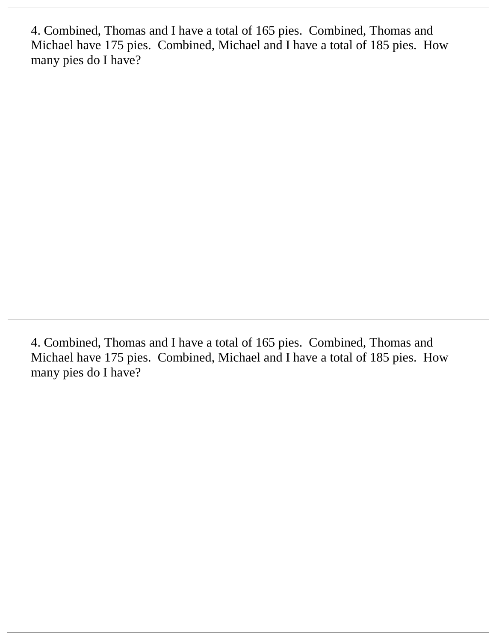4. Combined, Thomas and I have a total of 165 pies. Combined, Thomas and Michael have 175 pies. Combined, Michael and I have a total of 185 pies. How many pies do I have?

4. Combined, Thomas and I have a total of 165 pies. Combined, Thomas and Michael have 175 pies. Combined, Michael and I have a total of 185 pies. How many pies do I have?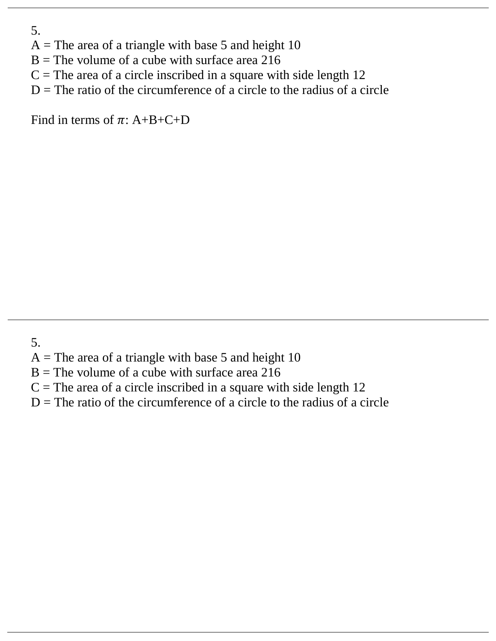- 5.
- $A$  = The area of a triangle with base 5 and height 10
- $B$  = The volume of a cube with surface area 216
- $C =$ The area of a circle inscribed in a square with side length 12
- $D =$ The ratio of the circumference of a circle to the radius of a circle

Find in terms of  $\pi$ : A+B+C+D

- 5.
- $A$  = The area of a triangle with base 5 and height 10
- $B$  = The volume of a cube with surface area 216
- $C =$ The area of a circle inscribed in a square with side length 12
- $D =$ The ratio of the circumference of a circle to the radius of a circle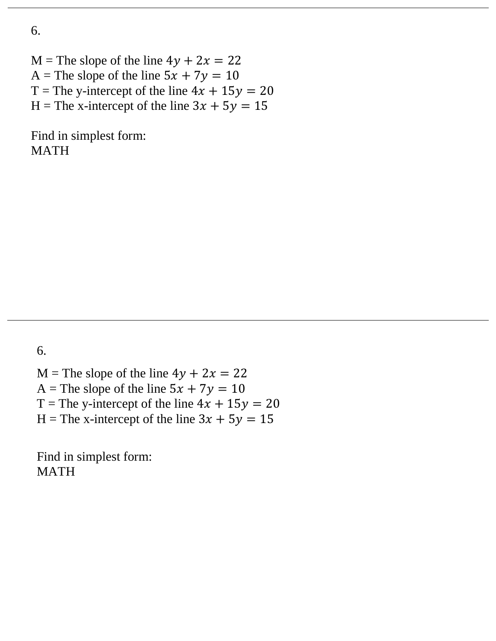$M$  = The slope of the line  $4y + 2x = 22$ A = The slope of the line  $5x + 7y = 10$ T = The y-intercept of the line  $4x + 15y = 20$ H = The x-intercept of the line  $3x + 5y = 15$ 

Find in simplest form: MATH

6.

 $M$  = The slope of the line  $4y + 2x = 22$ A = The slope of the line  $5x + 7y = 10$ T = The y-intercept of the line  $4x + 15y = 20$ H = The x-intercept of the line  $3x + 5y = 15$ 

Find in simplest form: MATH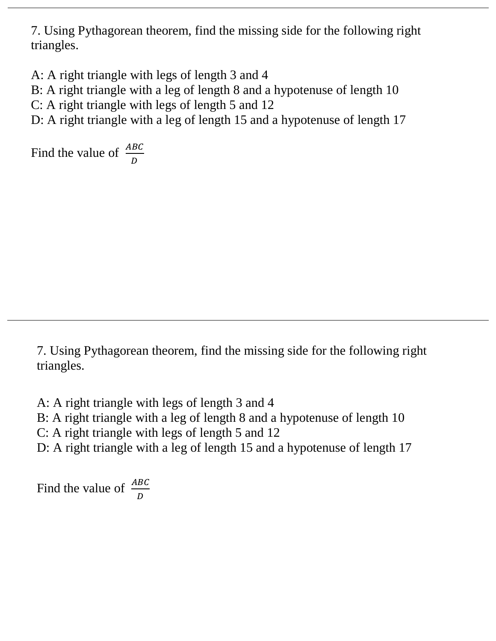7. Using Pythagorean theorem, find the missing side for the following right triangles.

A: A right triangle with legs of length 3 and 4

B: A right triangle with a leg of length 8 and a hypotenuse of length 10

C: A right triangle with legs of length 5 and 12

D: A right triangle with a leg of length 15 and a hypotenuse of length 17

Find the value of  $\frac{ABC}{D}$ 

7. Using Pythagorean theorem, find the missing side for the following right triangles.

A: A right triangle with legs of length 3 and 4

B: A right triangle with a leg of length 8 and a hypotenuse of length 10

C: A right triangle with legs of length 5 and 12

D: A right triangle with a leg of length 15 and a hypotenuse of length 17

Find the value of  $\frac{ABC}{D}$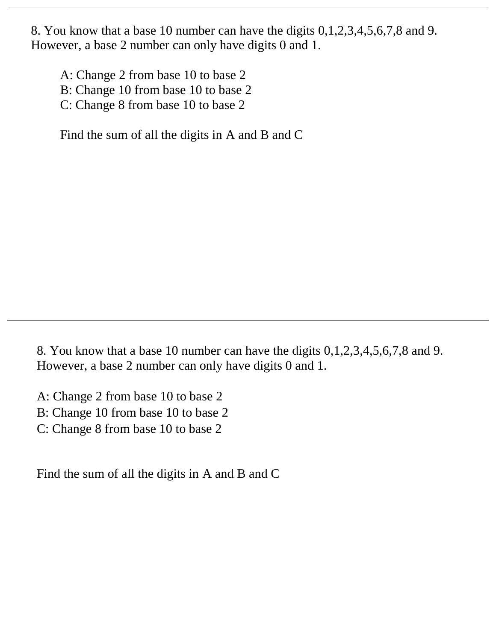8. You know that a base 10 number can have the digits 0,1,2,3,4,5,6,7,8 and 9. However, a base 2 number can only have digits 0 and 1.

A: Change 2 from base 10 to base 2

- B: Change 10 from base 10 to base 2
- C: Change 8 from base 10 to base 2

Find the sum of all the digits in A and B and C

8. You know that a base 10 number can have the digits 0,1,2,3,4,5,6,7,8 and 9. However, a base 2 number can only have digits 0 and 1.

A: Change 2 from base 10 to base 2

- B: Change 10 from base 10 to base 2
- C: Change 8 from base 10 to base 2

Find the sum of all the digits in A and B and C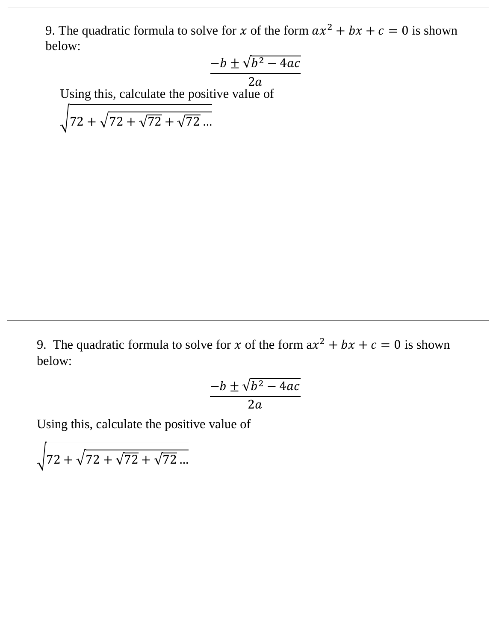9. The quadratic formula to solve for x of the form  $ax^2 + bx + c = 0$  is shown below:

$$
\frac{-b \pm \sqrt{b^2 - 4ac}}{2a}
$$

Using this, calculate the positive value of

 $\sqrt{72 + \sqrt{72} + \sqrt{72}}$  ...

9. The quadratic formula to solve for x of the form  $ax^2 + bx + c = 0$  is shown below:

$$
\frac{-b \pm \sqrt{b^2 - 4ac}}{2a}
$$

Using this, calculate the positive value of

 $\sqrt{72 + \sqrt{72} + \sqrt{72}}$  ...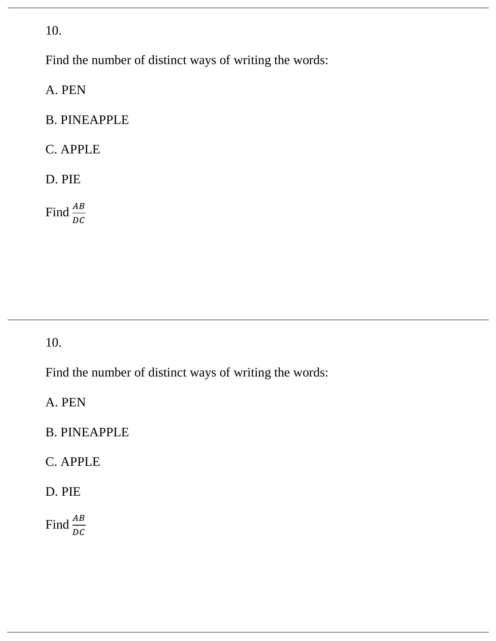Find the number of distinct ways of writing the words:

A. PEN

#### B. PINEAPPLE

# C. APPLE

#### D. PIE

Find  $\frac{AB}{DC}$ 

10.

Find the number of distinct ways of writing the words:

A. PEN

### B. PINEAPPLE

## C. APPLE

### D. PIE

Find  $\frac{AB}{DC}$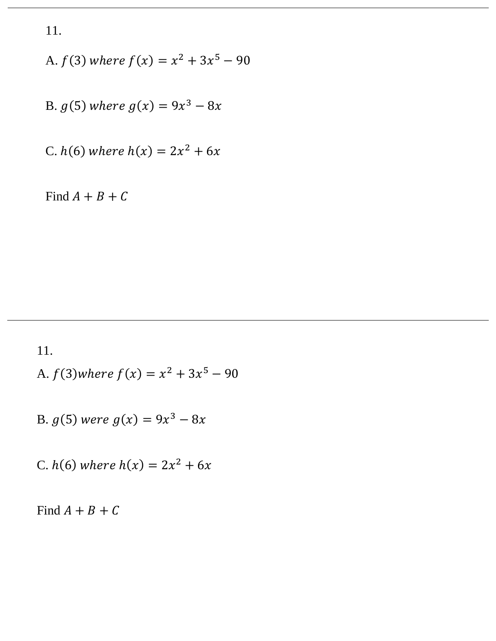A. 
$$
f(3)
$$
 where  $f(x) = x^2 + 3x^5 - 90$ 

B. 
$$
g(5)
$$
 where  $g(x) = 9x^3 - 8x$ 

C. 
$$
h(6)
$$
 where  $h(x) = 2x^2 + 6x$ 

Find  $A + B + C$ 

11.

A. 
$$
f(3)
$$
 where  $f(x) = x^2 + 3x^5 - 90$ 

B. 
$$
g(5)
$$
 were  $g(x) = 9x^3 - 8x$ 

C.  $h(6)$  where  $h(x) = 2x^2 + 6x$ 

Find  $A + B + C$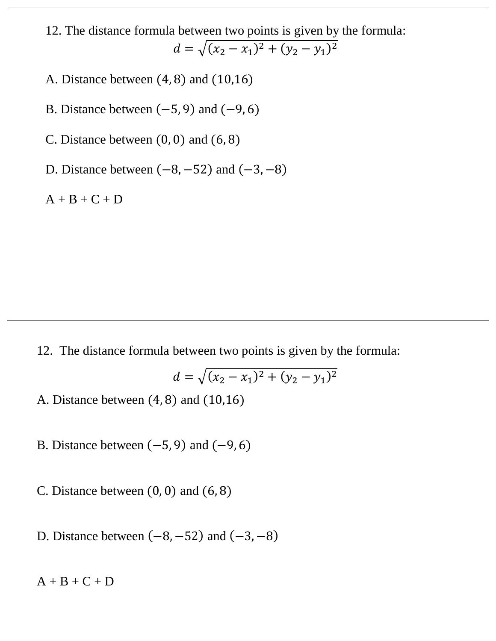- 12. The distance formula between two points is given by the formula:  $d = \sqrt{(x_2 - x_1)^2 + (y_2 - y_1)^2}$
- A. Distance between (4, 8) and (10,16)
- B. Distance between  $(-5, 9)$  and  $(-9, 6)$
- C. Distance between  $(0, 0)$  and  $(6, 8)$
- D. Distance between  $(-8, -52)$  and  $(-3, -8)$

 $A + B + C + D$ 

12. The distance formula between two points is given by the formula:

$$
d = \sqrt{(x_2 - x_1)^2 + (y_2 - y_1)^2}
$$

- A. Distance between (4, 8) and (10,16)
- B. Distance between  $(-5, 9)$  and  $(-9, 6)$
- C. Distance between  $(0, 0)$  and  $(6, 8)$
- D. Distance between  $(-8, -52)$  and  $(-3, -8)$

 $A + B + C + D$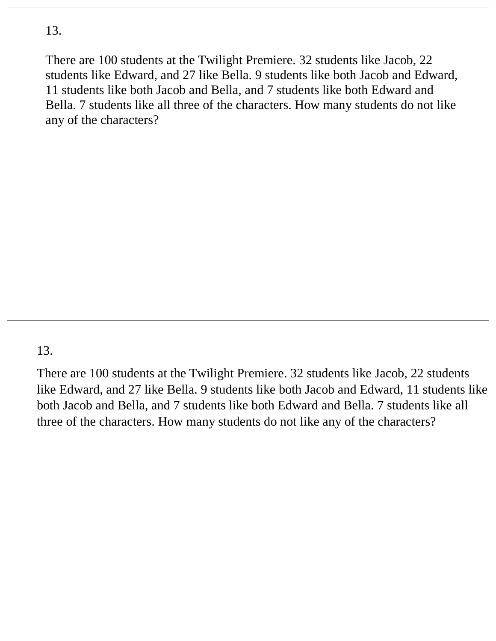There are 100 students at the Twilight Premiere. 32 students like Jacob, 22 students like Edward, and 27 like Bella. 9 students like both Jacob and Edward, 11 students like both Jacob and Bella, and 7 students like both Edward and Bella. 7 students like all three of the characters. How many students do not like any of the characters?

### 13.

There are 100 students at the Twilight Premiere. 32 students like Jacob, 22 students like Edward, and 27 like Bella. 9 students like both Jacob and Edward, 11 students like both Jacob and Bella, and 7 students like both Edward and Bella. 7 students like all three of the characters. How many students do not like any of the characters?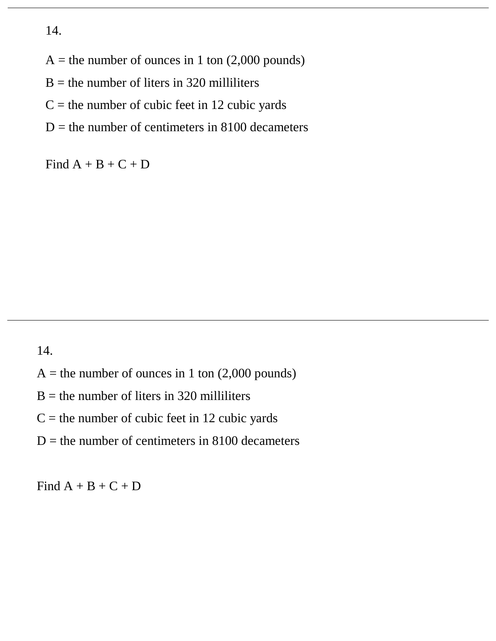$A =$  the number of ounces in 1 ton (2,000 pounds)

 $B =$  the number of liters in 320 milliliters

 $C =$  the number of cubic feet in 12 cubic yards

 $D =$  the number of centimeters in 8100 decameters

Find  $A + B + C + D$ 

14.

- $A =$  the number of ounces in 1 ton (2,000 pounds)
- $B =$  the number of liters in 320 milliliters
- $C =$  the number of cubic feet in 12 cubic yards
- $D =$  the number of centimeters in 8100 decameters

Find  $A + B + C + D$